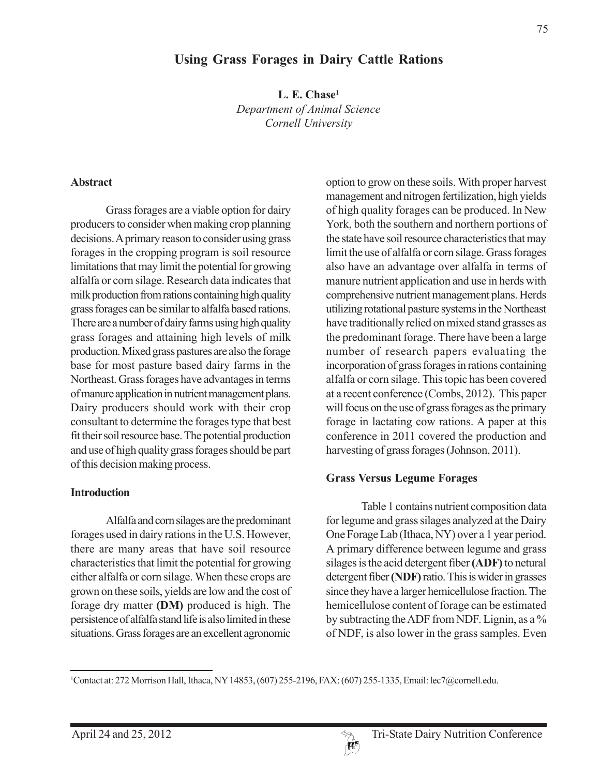1 Contact at: 272 Morrison Hall, Ithaca, NY 14853, (607) 255-2196, FAX: (607) 255-1335, Email: lec7@cornell.edu.

# **Using Grass Forages in Dairy Cattle Rations**

**L. E. Chase1** *Department of Animal Science Cornell University*

#### **Abstract**

Grass forages are a viable option for dairy producers to consider when making crop planning decisions. A primary reason to consider using grass forages in the cropping program is soil resource limitations that may limit the potential for growing alfalfa or corn silage. Research data indicates that milk production from rations containing high quality grass forages can be similar to alfalfa based rations. There are a number of dairy farms using high quality grass forages and attaining high levels of milk production. Mixed grass pastures are also the forage base for most pasture based dairy farms in the Northeast. Grass forages have advantages in terms of manure application in nutrient management plans. Dairy producers should work with their crop consultant to determine the forages type that best fit their soil resource base. The potential production and use of high quality grass forages should be part of this decision making process.

#### **Introduction**

Alfalfa and corn silages are the predominant forages used in dairy rations in the U.S. However, there are many areas that have soil resource characteristics that limit the potential for growing either alfalfa or corn silage. When these crops are grown on these soils, yields are low and the cost of forage dry matter **(DM)** produced is high. The persistence of alfalfa stand life is also limited in these situations. Grass forages are an excellent agronomic

option to grow on these soils. With proper harvest management and nitrogen fertilization, high yields of high quality forages can be produced. In New York, both the southern and northern portions of the state have soil resource characteristics that may limit the use of alfalfa or corn silage. Grass forages also have an advantage over alfalfa in terms of manure nutrient application and use in herds with comprehensive nutrient management plans. Herds utilizing rotational pasture systems in the Northeast have traditionally relied on mixed stand grasses as the predominant forage. There have been a large number of research papers evaluating the incorporation of grass forages in rations containing alfalfa or corn silage. This topic has been covered at a recent conference (Combs, 2012). This paper will focus on the use of grass forages as the primary forage in lactating cow rations. A paper at this conference in 2011 covered the production and harvesting of grass forages (Johnson, 2011).

## **Grass Versus Legume Forages**

Table 1 contains nutrient composition data for legume and grass silages analyzed at the Dairy One Forage Lab (Ithaca, NY) over a 1 year period. A primary difference between legume and grass silages is the acid detergent fiber **(ADF)** to netural detergent fiber **(NDF)** ratio. This is wider in grasses since they have a larger hemicellulose fraction. The hemicellulose content of forage can be estimated by subtracting the ADF from NDF. Lignin, as a % of NDF, is also lower in the grass samples. Even

April 24 and 25, 2012 Tri-State Dairy Nutrition Conference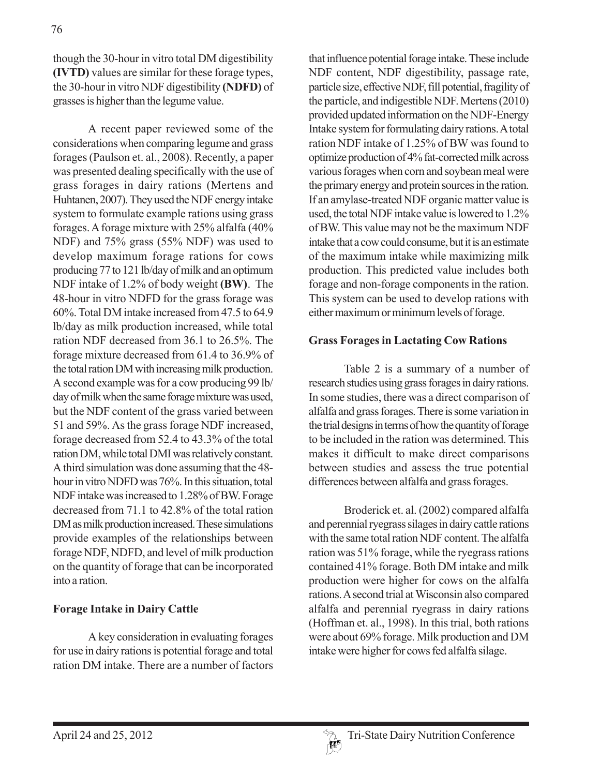though the 30-hour in vitro total DM digestibility **(IVTD)** values are similar for these forage types, the 30-hour in vitro NDF digestibility **(NDFD)** of grasses is higher than the legume value.

A recent paper reviewed some of the considerations when comparing legume and grass forages (Paulson et. al., 2008). Recently, a paper was presented dealing specifically with the use of grass forages in dairy rations (Mertens and Huhtanen, 2007). They used the NDF energy intake system to formulate example rations using grass forages. A forage mixture with 25% alfalfa (40% NDF) and 75% grass (55% NDF) was used to develop maximum forage rations for cows producing 77 to 121 lb/day of milk and an optimum NDF intake of 1.2% of body weight **(BW)**. The 48-hour in vitro NDFD for the grass forage was 60%. Total DM intake increased from 47.5 to 64.9 lb/day as milk production increased, while total ration NDF decreased from 36.1 to 26.5%. The forage mixture decreased from 61.4 to 36.9% of the total ration DM with increasing milk production. A second example was for a cow producing 99 lb/ day of milk when the same forage mixture was used, but the NDF content of the grass varied between 51 and 59%. As the grass forage NDF increased, forage decreased from 52.4 to 43.3% of the total ration DM, while total DMI was relatively constant. A third simulation was done assuming that the 48 hour in vitro NDFD was 76%. In this situation, total NDF intake was increased to 1.28% of BW. Forage decreased from 71.1 to 42.8% of the total ration DM as milk production increased. These simulations provide examples of the relationships between forage NDF, NDFD, and level of milk production on the quantity of forage that can be incorporated into a ration.

## **Forage Intake in Dairy Cattle**

A key consideration in evaluating forages for use in dairy rations is potential forage and total ration DM intake. There are a number of factors that influence potential forage intake. These include NDF content, NDF digestibility, passage rate, particle size, effective NDF, fill potential, fragility of the particle, and indigestible NDF. Mertens (2010) provided updated information on the NDF-Energy Intake system for formulating dairy rations. A total ration NDF intake of 1.25% of BW was found to optimize production of 4% fat-corrected milk across various forages when corn and soybean meal were the primary energy and protein sources in the ration. If an amylase-treated NDF organic matter value is used, the total NDF intake value is lowered to 1.2% of BW. This value may not be the maximum NDF intake that a cow could consume, but it is an estimate of the maximum intake while maximizing milk production. This predicted value includes both forage and non-forage components in the ration. This system can be used to develop rations with either maximum or minimum levels of forage.

### **Grass Forages in Lactating Cow Rations**

Table 2 is a summary of a number of research studies using grass forages in dairy rations. In some studies, there was a direct comparison of alfalfa and grass forages. There is some variation in the trial designs in terms of how the quantity of forage to be included in the ration was determined. This makes it difficult to make direct comparisons between studies and assess the true potential differences between alfalfa and grass forages.

Broderick et. al. (2002) compared alfalfa and perennial ryegrass silages in dairy cattle rations with the same total ration NDF content. The alfalfa ration was 51% forage, while the ryegrass rations contained 41% forage. Both DM intake and milk production were higher for cows on the alfalfa rations. A second trial at Wisconsin also compared alfalfa and perennial ryegrass in dairy rations (Hoffman et. al., 1998). In this trial, both rations were about 69% forage. Milk production and DM intake were higher for cows fed alfalfa silage.

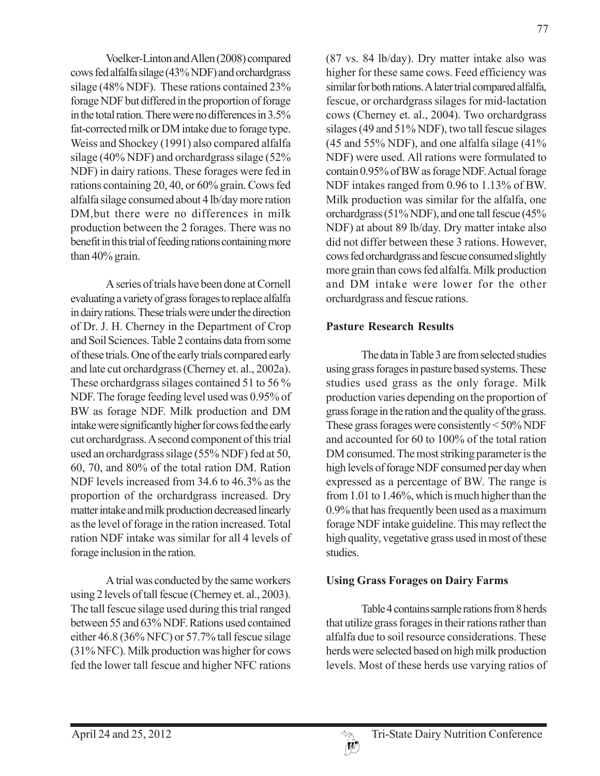Voelker-Linton and Allen (2008) compared cows fed alfalfa silage (43% NDF) and orchardgrass silage (48% NDF). These rations contained 23% forage NDF but differed in the proportion of forage in the total ration. There were no differences in 3.5% fat-corrected milk or DM intake due to forage type. Weiss and Shockey (1991) also compared alfalfa silage (40% NDF) and orchardgrass silage (52% NDF) in dairy rations. These forages were fed in rations containing 20, 40, or 60% grain. Cows fed alfalfa silage consumed about 4 lb/day more ration DM,but there were no differences in milk production between the 2 forages. There was no benefit in this trial of feeding rations containing more than 40% grain.

A series of trials have been done at Cornell evaluating a variety of grass forages to replace alfalfa in dairy rations. These trials were under the direction of Dr. J. H. Cherney in the Department of Crop and Soil Sciences. Table 2 contains data from some of these trials. One of the early trials compared early and late cut orchardgrass (Cherney et. al., 2002a). These orchardgrass silages contained 51 to 56 % NDF. The forage feeding level used was 0.95% of BW as forage NDF. Milk production and DM intake were significantly higher for cows fed the early cut orchardgrass. A second component of this trial used an orchardgrass silage (55% NDF) fed at 50, 60, 70, and 80% of the total ration DM. Ration NDF levels increased from 34.6 to 46.3% as the proportion of the orchardgrass increased. Dry matter intake and milk production decreased linearly as the level of forage in the ration increased. Total ration NDF intake was similar for all 4 levels of forage inclusion in the ration.

A trial was conducted by the same workers using 2 levels of tall fescue (Cherney et. al., 2003). The tall fescue silage used during this trial ranged between 55 and 63% NDF. Rations used contained either 46.8 (36% NFC) or 57.7% tall fescue silage (31% NFC). Milk production was higher for cows fed the lower tall fescue and higher NFC rations

(87 vs. 84 lb/day). Dry matter intake also was higher for these same cows. Feed efficiency was similar for both rations. A later trial compared alfalfa, fescue, or orchardgrass silages for mid-lactation cows (Cherney et. al., 2004). Two orchardgrass silages (49 and 51% NDF), two tall fescue silages (45 and 55% NDF), and one alfalfa silage (41% NDF) were used. All rations were formulated to contain 0.95% of BW as forage NDF. Actual forage NDF intakes ranged from 0.96 to 1.13% of BW. Milk production was similar for the alfalfa, one orchardgrass (51% NDF), and one tall fescue (45% NDF) at about 89 lb/day. Dry matter intake also did not differ between these 3 rations. However, cows fed orchardgrass and fescue consumed slightly more grain than cows fed alfalfa. Milk production and DM intake were lower for the other orchardgrass and fescue rations.

# **Pasture Research Results**

The data in Table 3 are from selected studies using grass forages in pasture based systems. These studies used grass as the only forage. Milk production varies depending on the proportion of grass forage in the ration and the quality of the grass. These grass forages were consistently < 50% NDF and accounted for 60 to 100% of the total ration DM consumed. The most striking parameter is the high levels of forage NDF consumed per day when expressed as a percentage of BW. The range is from 1.01 to 1.46%, which is much higher than the 0.9% that has frequently been used as a maximum forage NDF intake guideline. This may reflect the high quality, vegetative grass used in most of these studies.

# **Using Grass Forages on Dairy Farms**

Table 4 contains sample rations from 8 herds that utilize grass forages in their rations rather than alfalfa due to soil resource considerations. These herds were selected based on high milk production levels. Most of these herds use varying ratios of

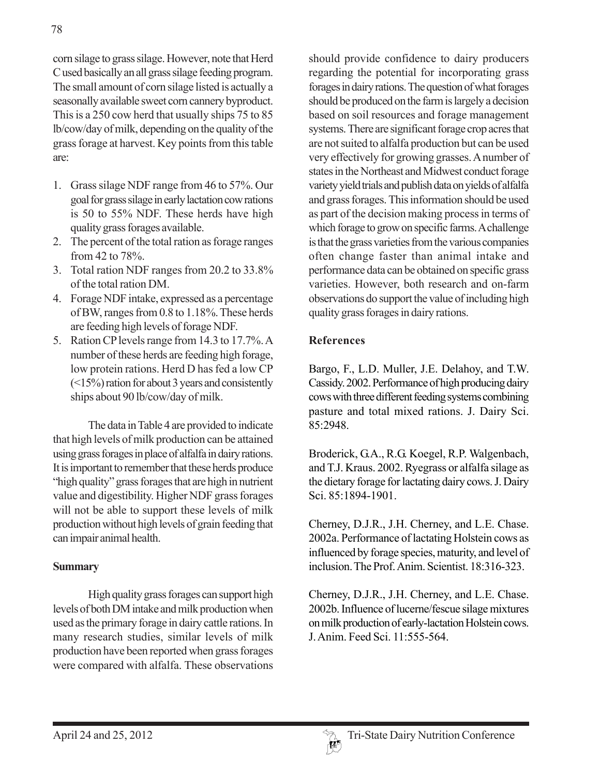corn silage to grass silage. However, note that Herd C used basically an all grass silage feeding program. The small amount of corn silage listed is actually a seasonally available sweet corn cannery byproduct. This is a 250 cow herd that usually ships 75 to 85 lb/cow/day of milk, depending on the quality of the grass forage at harvest. Key points from this table are:

- 1. Grass silage NDF range from 46 to 57%. Our goal for grass silage in early lactation cow rations is 50 to 55% NDF. These herds have high quality grass forages available.
- 2. The percent of the total ration as forage ranges from 42 to 78%.
- 3. Total ration NDF ranges from 20.2 to 33.8% of the total ration DM.
- 4. Forage NDF intake, expressed as a percentage of BW, ranges from 0.8 to 1.18%. These herds are feeding high levels of forage NDF.
- 5. Ration CP levels range from 14.3 to 17.7%. A number of these herds are feeding high forage, low protein rations. Herd D has fed a low CP (<15%) ration for about 3 years and consistently ships about 90 lb/cow/day of milk.

The data in Table 4 are provided to indicate that high levels of milk production can be attained using grass forages in place of alfalfa in dairy rations. It is important to remember that these herds produce "high quality" grass forages that are high in nutrient value and digestibility. Higher NDF grass forages will not be able to support these levels of milk production without high levels of grain feeding that can impair animal health.

#### **Summary**

High quality grass forages can support high levels of both DM intake and milk production when used as the primary forage in dairy cattle rations. In many research studies, similar levels of milk production have been reported when grass forages were compared with alfalfa. These observations

should provide confidence to dairy producers regarding the potential for incorporating grass forages in dairy rations. The question of what forages should be produced on the farm is largely a decision based on soil resources and forage management systems. There are significant forage crop acres that are not suited to alfalfa production but can be used very effectively for growing grasses. A number of states in the Northeast and Midwest conduct forage variety yield trials and publish data on yields of alfalfa and grass forages. This information should be used as part of the decision making process in terms of which forage to grow on specific farms. A challenge is that the grass varieties from the various companies often change faster than animal intake and performance data can be obtained on specific grass varieties. However, both research and on-farm observations do support the value of including high quality grass forages in dairy rations.

## **References**

Bargo, F., L.D. Muller, J.E. Delahoy, and T.W. Cassidy. 2002. Performance of high producing dairy cows with three different feeding systems combining pasture and total mixed rations. J. Dairy Sci. 85:2948.

Broderick, G.A., R.G. Koegel, R.P. Walgenbach, and T.J. Kraus. 2002. Ryegrass or alfalfa silage as the dietary forage for lactating dairy cows. J. Dairy Sci. 85:1894-1901.

Cherney, D.J.R., J.H. Cherney, and L.E. Chase. 2002a. Performance of lactating Holstein cows as influenced by forage species, maturity, and level of inclusion. The Prof. Anim. Scientist. 18:316-323.

Cherney, D.J.R., J.H. Cherney, and L.E. Chase. 2002b. Influence of lucerne/fescue silage mixtures on milk production of early-lactation Holstein cows. J. Anim. Feed Sci. 11:555-564.

78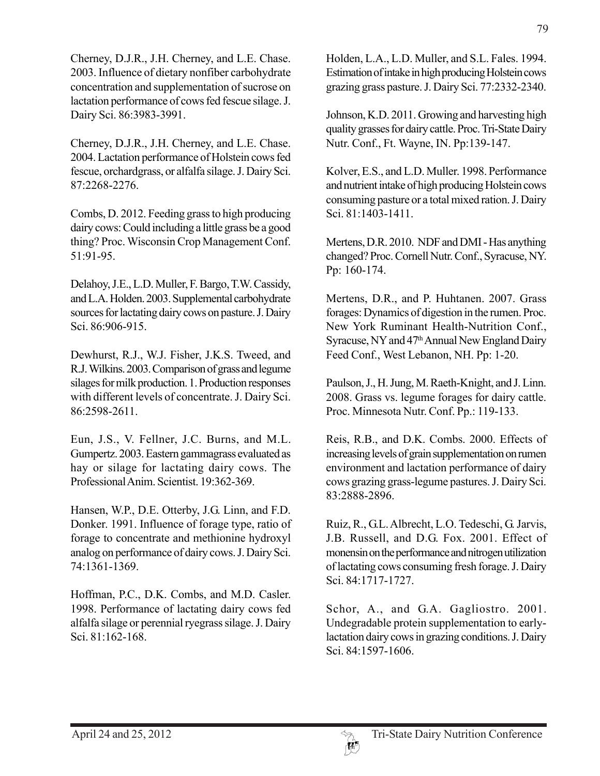Cherney, D.J.R., J.H. Cherney, and L.E. Chase. 2003. Influence of dietary nonfiber carbohydrate concentration and supplementation of sucrose on lactation performance of cows fed fescue silage. J. Dairy Sci. 86:3983-3991.

Cherney, D.J.R., J.H. Cherney, and L.E. Chase. 2004. Lactation performance of Holstein cows fed fescue, orchardgrass, or alfalfa silage. J. Dairy Sci. 87:2268-2276.

Combs, D. 2012. Feeding grass to high producing dairy cows: Could including a little grass be a good thing? Proc. Wisconsin Crop Management Conf. 51:91-95.

Delahoy, J.E., L.D. Muller, F. Bargo, T.W. Cassidy, and L.A. Holden. 2003. Supplemental carbohydrate sources for lactating dairy cows on pasture. J. Dairy Sci. 86:906-915.

Dewhurst, R.J., W.J. Fisher, J.K.S. Tweed, and R.J. Wilkins. 2003. Comparison of grass and legume silages for milk production. 1. Production responses with different levels of concentrate. J. Dairy Sci. 86:2598-2611.

Eun, J.S., V. Fellner, J.C. Burns, and M.L. Gumpertz. 2003. Eastern gammagrass evaluated as hay or silage for lactating dairy cows. The Professional Anim. Scientist. 19:362-369.

Hansen, W.P., D.E. Otterby, J.G. Linn, and F.D. Donker. 1991. Influence of forage type, ratio of forage to concentrate and methionine hydroxyl analog on performance of dairy cows. J. Dairy Sci. 74:1361-1369.

Hoffman, P.C., D.K. Combs, and M.D. Casler. 1998. Performance of lactating dairy cows fed alfalfa silage or perennial ryegrass silage. J. Dairy Sci. 81:162-168.

Holden, L.A., L.D. Muller, and S.L. Fales. 1994. Estimation of intake in high producing Holstein cows grazing grass pasture. J. Dairy Sci. 77:2332-2340.

Johnson, K.D. 2011. Growing and harvesting high quality grasses for dairy cattle. Proc. Tri-State Dairy Nutr. Conf., Ft. Wayne, IN. Pp:139-147.

Kolver, E.S., and L.D. Muller. 1998. Performance and nutrient intake of high producing Holstein cows consuming pasture or a total mixed ration. J. Dairy Sci. 81:1403-1411.

Mertens, D.R. 2010. NDF and DMI - Has anything changed? Proc. Cornell Nutr. Conf., Syracuse, NY. Pp: 160-174.

Mertens, D.R., and P. Huhtanen. 2007. Grass forages: Dynamics of digestion in the rumen. Proc. New York Ruminant Health-Nutrition Conf., Syracuse, NY and 47<sup>th</sup> Annual New England Dairy Feed Conf., West Lebanon, NH. Pp: 1-20.

Paulson, J., H. Jung, M. Raeth-Knight, and J. Linn. 2008. Grass vs. legume forages for dairy cattle. Proc. Minnesota Nutr. Conf. Pp.: 119-133.

Reis, R.B., and D.K. Combs. 2000. Effects of increasing levels of grain supplementation on rumen environment and lactation performance of dairy cows grazing grass-legume pastures. J. Dairy Sci. 83:2888-2896.

Ruiz, R., G.L. Albrecht, L.O. Tedeschi, G. Jarvis, J.B. Russell, and D.G. Fox. 2001. Effect of monensin on the performance and nitrogen utilization of lactating cows consuming fresh forage. J. Dairy Sci. 84:1717-1727.

Schor, A., and G.A. Gagliostro. 2001. Undegradable protein supplementation to earlylactation dairy cows in grazing conditions. J. Dairy Sci. 84:1597-1606.

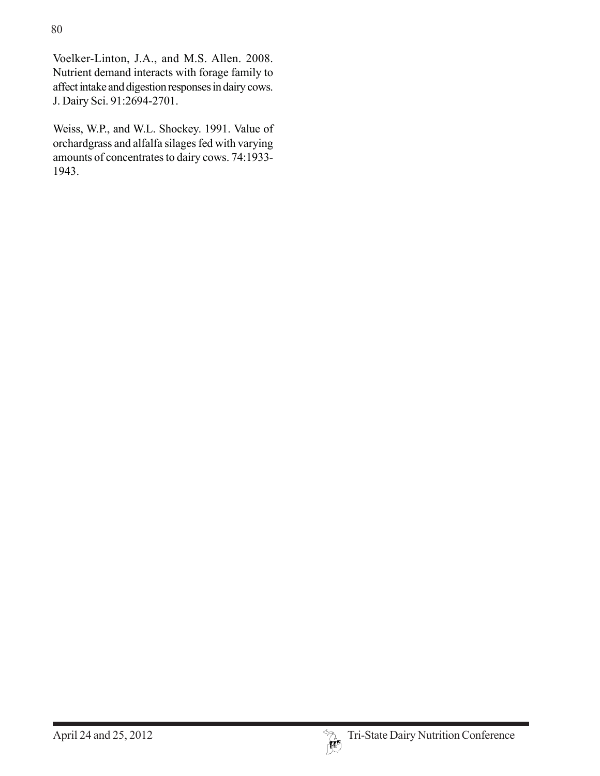Voelker-Linton, J.A., and M.S. Allen. 2008. Nutrient demand interacts with forage family to affect intake and digestion responses in dairy cows. J. Dairy Sci. 91:2694-2701.

Weiss, W.P., and W.L. Shockey. 1991. Value of orchardgrass and alfalfa silages fed with varying amounts of concentrates to dairy cows. 74:1933- 1943.

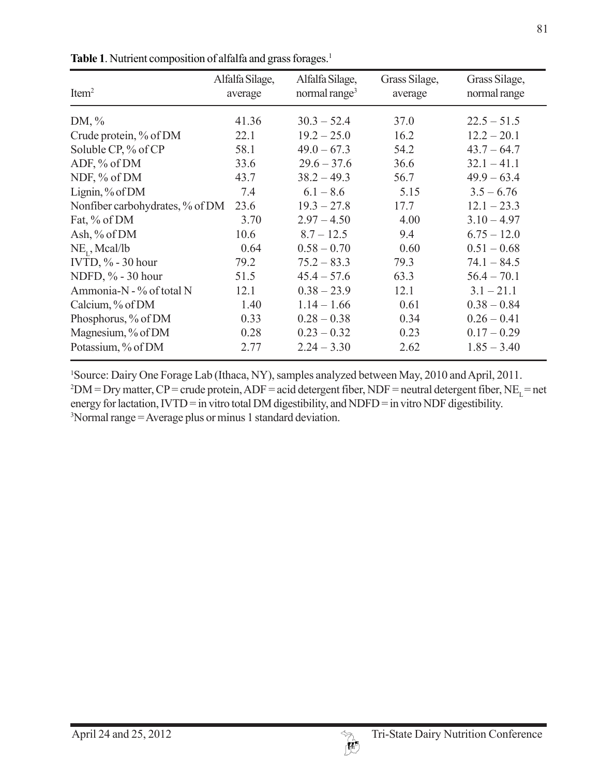| Item <sup>2</sup>               | Alfalfa Silage,<br>average | Alfalfa Silage,<br>normal range <sup>3</sup> | Grass Silage,<br>average | Grass Silage,<br>normal range |
|---------------------------------|----------------------------|----------------------------------------------|--------------------------|-------------------------------|
| DM, $\%$                        | 41.36                      | $30.3 - 52.4$                                | 37.0                     | $22.5 - 51.5$                 |
| Crude protein, % of DM          | 22.1                       | $19.2 - 25.0$                                | 16.2                     | $12.2 - 20.1$                 |
| Soluble CP, % of CP             | 58.1                       | $49.0 - 67.3$                                | 54.2                     | $43.7 - 64.7$                 |
| ADF, % of DM                    | 33.6                       | $29.6 - 37.6$                                | 36.6                     | $32.1 - 41.1$                 |
| NDF, % of DM                    | 43.7                       | $38.2 - 49.3$                                | 56.7                     | $49.9 - 63.4$                 |
| Lignin, $%$ of DM               | 7.4                        | $6.1 - 8.6$                                  | 5.15                     | $3.5 - 6.76$                  |
| Nonfiber carbohydrates, % of DM | 23.6                       | $19.3 - 27.8$                                | 17.7                     | $12.1 - 23.3$                 |
| Fat, % of DM                    | 3.70                       | $2.97 - 4.50$                                | 4.00                     | $3.10 - 4.97$                 |
| Ash, % of DM                    | 10.6                       | $8.7 - 12.5$                                 | 9.4                      | $6.75 - 12.0$                 |
| $NE_{t}$ , Mcal/lb              | 0.64                       | $0.58 - 0.70$                                | 0.60                     | $0.51 - 0.68$                 |
| IVTD, $\%$ - 30 hour            | 79.2                       | $75.2 - 83.3$                                | 79.3                     | $74.1 - 84.5$                 |
| NDFD, % - 30 hour               | 51.5                       | $45.4 - 57.6$                                | 63.3                     | $56.4 - 70.1$                 |
| Ammonia-N - % of total N        | 12.1                       | $0.38 - 23.9$                                | 12.1                     | $3.1 - 21.1$                  |
| Calcium, % of DM                | 1.40                       | $1.14 - 1.66$                                | 0.61                     | $0.38 - 0.84$                 |
| Phosphorus, % of DM             | 0.33                       | $0.28 - 0.38$                                | 0.34                     | $0.26 - 0.41$                 |
| Magnesium, % of DM              | 0.28                       | $0.23 - 0.32$                                | 0.23                     | $0.17 - 0.29$                 |
| Potassium, % of DM              | 2.77                       | $2.24 - 3.30$                                | 2.62                     | $1.85 - 3.40$                 |

Table 1. Nutrient composition of alfalfa and grass forages.<sup>1</sup>

1 Source: Dairy One Forage Lab (Ithaca, NY), samples analyzed between May, 2010 and April, 2011.  $2\text{DM}$  = Dry matter, CP = crude protein, ADF = acid detergent fiber, NDF = neutral detergent fiber, NE<sub>L</sub> = net energy for lactation, IVTD = in vitro total DM digestibility, and NDFD = in vitro NDF digestibility. 3 Normal range = Average plus or minus 1 standard deviation.

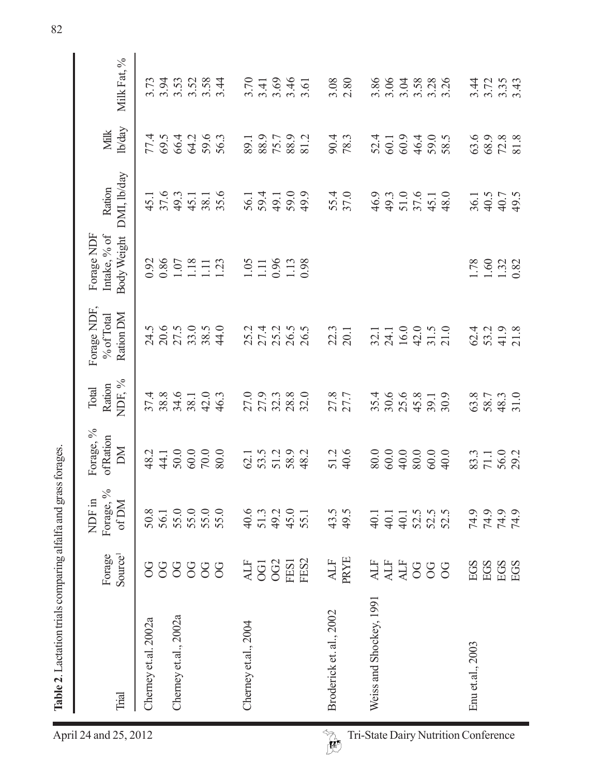| $\frac{1}{2}$                             |
|-------------------------------------------|
|                                           |
| į                                         |
| $\frac{1}{2}$                             |
|                                           |
| į                                         |
| į                                         |
| actation trials commanded to and arabitac |
|                                           |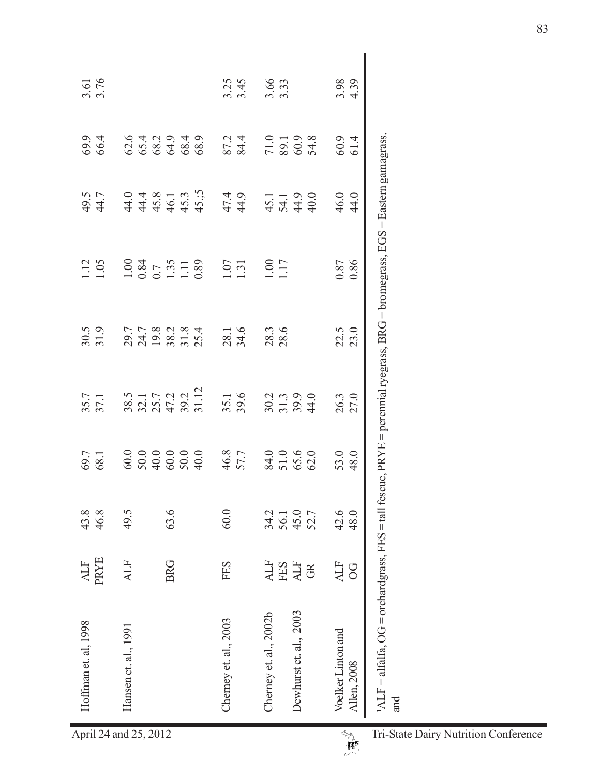| Hoffman et. al, 1998 | Hansen et. al., 1991                                                       | Cherney et. al., 2003 | Dewhurst et. al., 2003<br>Cherney et. al., 2002b | 1ALF = alfalfa, OG = orchardgrass, FES = tall fescue, PRYE = perennial ryegrass, BRG = bromegrass, EGS = Eastern gamagrass.<br>Voelker Linton and<br>Allen, 2008<br>and |  |
|----------------------|----------------------------------------------------------------------------|-----------------------|--------------------------------------------------|-------------------------------------------------------------------------------------------------------------------------------------------------------------------------|--|
|                      |                                                                            |                       |                                                  |                                                                                                                                                                         |  |
| <b>PRYE</b><br>ALF   | <b>BRG</b><br><b>ALF</b>                                                   | FES                   | <b>ALF</b><br>EES<br>ALF<br>GR                   | ALF<br>$\overline{OC}$                                                                                                                                                  |  |
| 46.8<br>43.8         | 63.6<br>49.5                                                               | 60.0                  | 34.2<br>56.1<br>52.7<br>52.7                     | 42.6<br>48.0                                                                                                                                                            |  |
| 69.7<br>68.1         |                                                                            | 46.8<br>57.7          | 84.0<br>51.0<br>65.6<br>62.0                     | 48.0<br>53.0                                                                                                                                                            |  |
| 35.7                 | 38.5<br>32.1<br>35.7<br>47.2<br>31.12                                      | 35.1<br>39.6          | $30.2$<br>$31.3$<br>$39.9$<br>$41.0$             | 26.3<br>27.0                                                                                                                                                            |  |
| $30.5$<br>31.9       | 7782384<br>2498284                                                         | 28.1<br>34.6          | 28.3                                             | 22.5<br>23.0                                                                                                                                                            |  |
| 1.12                 | $\begin{array}{c} 1.00 \\ 0.84 \\ 0.7 \\ 1.35 \\ 1.11 \\ 0.89 \end{array}$ | 1.07                  | 1.00                                             | 0.85<br>0.86                                                                                                                                                            |  |
| 49.5<br>44.7         |                                                                            | 47.4<br>44.9          | $45.1$<br>$54.1$<br>$49.0$                       | 46.0<br>44.0                                                                                                                                                            |  |
| 66.4<br>69.9         | 642949899899                                                               | 87.2<br>84.4          | 71.0<br>89.1<br>54.8                             | $60.9$<br>$61.4$                                                                                                                                                        |  |
| 3.61                 |                                                                            | $3.25$<br>$3.45$      | 3.66                                             | 3.98                                                                                                                                                                    |  |
|                      |                                                                            |                       |                                                  |                                                                                                                                                                         |  |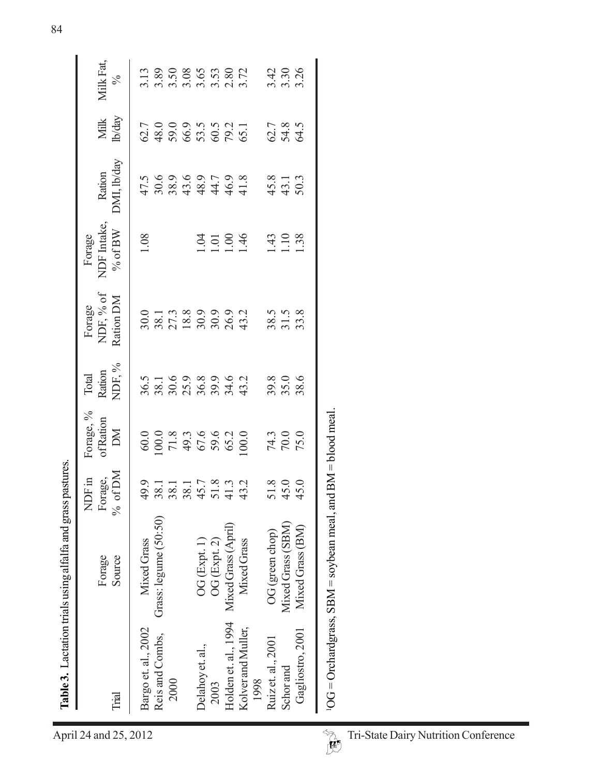|                                      |                                        | Table 3. Lactation trials using alfalfa and grass pastures. |                                      |                             |                           |                                  |                                    |                       |                      |                            |
|--------------------------------------|----------------------------------------|-------------------------------------------------------------|--------------------------------------|-----------------------------|---------------------------|----------------------------------|------------------------------------|-----------------------|----------------------|----------------------------|
| April 24 and 25, 2012                | Trial                                  | Source<br>Forage                                            | Forage,<br>% of DM<br>NDF in         | Forage, %<br>of Ration<br>M | NDF, %<br>Ration<br>Total | NDF, % of<br>Ration DM<br>Forage | NDF Intake,<br>% of $BW$<br>Forage | DMI, lb/day<br>Ration | lb/day<br>Milk       | Milk Fat,<br>$\frac{5}{6}$ |
|                                      | Bargo et. al., 2002<br>Reis and Combs, | Grass: legume (50:50)<br>Mixed Grass                        | 49.9<br>38.1<br>38.1<br>38.1<br>45.7 | 100.0<br>60.0               | 36.5<br>38.1              | 30.0<br>38.1                     | 1.08                               | 30.6<br>47.5          | 48.0<br>62.7         | 3.89<br>3.13               |
|                                      | 2000                                   |                                                             |                                      | $71.8$<br>49.3<br>67.6      | 25.9<br>36.8<br>30.6      | 27.3                             |                                    | 43.6<br>38.9          | 59.0<br>66.9<br>53.5 | $3.50$<br>$3.08$           |
|                                      | Delahoy et. al.,                       | OG (Expt. 1)                                                |                                      |                             |                           |                                  | 1.04                               | 48.9                  |                      | 3.65                       |
|                                      | Holden et. al., 1994<br>2003           | Mixed Grass (April)<br>OG (Expt. 2)                         | $51.8$<br>$41.3$<br>$43.2$           | 59.6<br>65.2                | 39.9<br>34.6              | 18.8<br>30.9<br>30.9             | 1.00<br>1.01                       | 46.9<br>44.7          | 60.5<br>79.2<br>65.1 | $3.53$<br>$2.80$<br>$3.72$ |
|                                      | Kolver and Muller,<br>1998             | Mixed Grass                                                 |                                      | 100.0                       | 43.2                      | 43.2                             | 1.46                               | 41.8                  |                      |                            |
|                                      | Ruiz et. al., 2001                     | OG (green chop)                                             |                                      | 74.3                        | 39.8                      | 38.5                             | $\frac{43}{5}$                     | 45.8                  |                      |                            |
|                                      | Schor and                              | Mixed Grass (SBM)                                           | $51.8$ $45.0$                        | 70.0                        | 35.0                      | 31.5<br>33.8                     | 110                                | 43.1                  | 62.7<br>54.8<br>64.5 | 3.42<br>3.30<br>3.26       |
|                                      | Gagliostro, 2001                       | Mixed Grass (BM)                                            | 45.0                                 | 75.0                        |                           |                                  |                                    | 50.3                  |                      |                            |
| $\rightsquigarrow$                   |                                        | $10G =$ Orchardgrass, SBM = soybean meal, and               |                                      | $BM = blood$ meal.          |                           |                                  |                                    |                       |                      |                            |
|                                      |                                        |                                                             |                                      |                             |                           |                                  |                                    |                       |                      |                            |
|                                      |                                        |                                                             |                                      |                             |                           |                                  |                                    |                       |                      |                            |
|                                      |                                        |                                                             |                                      |                             |                           |                                  |                                    |                       |                      |                            |
|                                      |                                        |                                                             |                                      |                             |                           |                                  |                                    |                       |                      |                            |
|                                      |                                        |                                                             |                                      |                             |                           |                                  |                                    |                       |                      |                            |
|                                      |                                        |                                                             |                                      |                             |                           |                                  |                                    |                       |                      |                            |
| Tri-State Dairy Nutrition Conference |                                        |                                                             |                                      |                             |                           |                                  |                                    |                       |                      |                            |
|                                      |                                        |                                                             |                                      |                             |                           |                                  |                                    |                       |                      |                            |